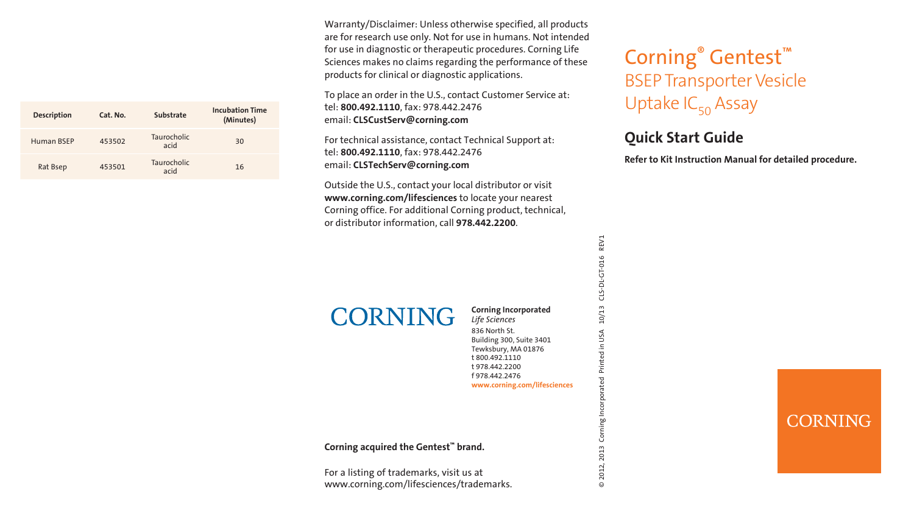| <b>Description</b> | Cat. No. | Substrate           | <b>Incubation Time</b><br>(Minutes) |  |  |  |
|--------------------|----------|---------------------|-------------------------------------|--|--|--|
| Human BSEP         | 453502   | Taurocholic<br>acid | 30                                  |  |  |  |
| Rat Bsep           | 453501   | Taurocholic<br>acid | 16                                  |  |  |  |

Warranty/Disclaimer: Unless otherwise specified, all products are for research use only. Not for use in humans. Not intended for use in diagnostic or therapeutic procedures. Corning Life Sciences makes no claims regarding the performance of these products for clinical or diagnostic applications.

To place an order in the U.S., contact Customer Service at: tel: **800.492.1110**, fax: 978.442.2476 email: **CLSCustServ@corning.com**

For technical assistance, contact Technical Support at: tel: **800.492.1110**, fax: 978.442.2476 email: **CLSTechServ@corning.com**

Outside the U.S., contact your local distributor or visit **www.corning.com/lifesciences** to locate your nearest Corning office. For additional Corning product, technical, or distributor information, call **978.442.2200**.

# **CORNING**

#### **Corning Incorporated** *Life Sciences*

836 North St. Building 300, Suite 3401 Tewksbury, MA 01876 t 800.492.1110 t 978.442.2200 f 978.442.2476 **www.corning.com/lifesciences** © 2012, 2013 Corning Incorporated Printed in USA 10/13 CLS-DL-GT-016 REV1

S 2013 2012,  $\odot$ 

REV1

CLS-DL-GT-016

 $10/13$ 

n USA

### **Corning acquired the Gentest™ brand.**

For a listing of trademarks, visit us at www.corning.com/lifesciences/trademarks.

# Corning® Gentest™ BSEP Transporter Vesicle Uptake  $IC_{50}$  Assay

### **Quick Start Guide**

**Refer to Kit Instruction Manual for detailed procedure.**

### CORNING